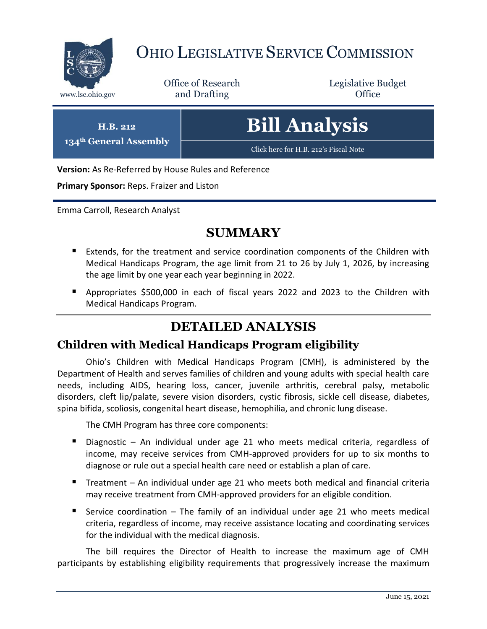

# OHIO LEGISLATIVE SERVICE COMMISSION

Office of Research www.lsc.ohio.gov **and Drafting Office** 

Legislative Budget

**H.B. 212 134th General Assembly** **Bill Analysis**

[Click here for H.B. 212](https://www.legislature.ohio.gov/legislation/legislation-documents?id=GA134-HB-212)'s Fiscal Note

**Version:** As Re-Referred by House Rules and Reference

**Primary Sponsor:** Reps. Fraizer and Liston

Emma Carroll, Research Analyst

#### **SUMMARY**

- **Extends, for the treatment and service coordination components of the Children with** Medical Handicaps Program, the age limit from 21 to 26 by July 1, 2026, by increasing the age limit by one year each year beginning in 2022.
- Appropriates \$500,000 in each of fiscal years 2022 and 2023 to the Children with Medical Handicaps Program.

### **DETAILED ANALYSIS**

#### **Children with Medical Handicaps Program eligibility**

Ohio's Children with Medical Handicaps Program (CMH), is administered by the Department of Health and serves families of children and young adults with special health care needs, including AIDS, hearing loss, cancer, juvenile arthritis, cerebral palsy, metabolic disorders, cleft lip/palate, severe vision disorders, cystic fibrosis, sickle cell disease, diabetes, spina bifida, scoliosis, congenital heart disease, hemophilia, and chronic lung disease.

The CMH Program has three core components:

- Diagnostic An individual under age 21 who meets medical criteria, regardless of income, may receive services from CMH-approved providers for up to six months to diagnose or rule out a special health care need or establish a plan of care.
- Treatment An individual under age 21 who meets both medical and financial criteria may receive treatment from CMH-approved providers for an eligible condition.
- Service coordination The family of an individual under age 21 who meets medical criteria, regardless of income, may receive assistance locating and coordinating services for the individual with the medical diagnosis.

The bill requires the Director of Health to increase the maximum age of CMH participants by establishing eligibility requirements that progressively increase the maximum